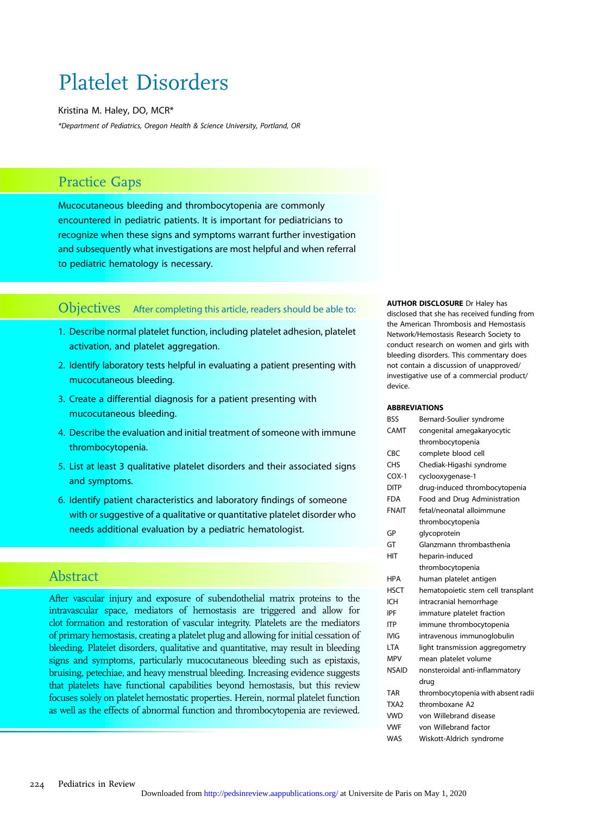# Platelet Disorders

Kristina M. Haley, DO, MCR\*

\*Department of Pediatrics, Oregon Health & Science University, Portland, OR

# Practice Gaps

Mucocutaneous bleeding and thrombocytopenia are commonly encountered in pediatric patients. It is important for pediatricians to recognize when these signs and symptoms warrant further investigation and subsequently what investigations are most helpful and when referral to pediatric hematology is necessary.

# Objectives After completing this article, readers should be able to:

- 1. Describe normal platelet function, including platelet adhesion, platelet activation, and platelet aggregation.
- 2. Identify laboratory tests helpful in evaluating a patient presenting with mucocutaneous bleeding.
- 3. Create a differential diagnosis for a patient presenting with mucocutaneous bleeding.
- 4. Describe the evaluation and initial treatment of someone with immune thrombocytopenia.
- 5. List at least 3 qualitative platelet disorders and their associated signs and symptoms.
- 6. Identify patient characteristics and laboratory findings of someone with or suggestive of a qualitative or quantitative platelet disorder who needs additional evaluation by a pediatric hematologist.

# Abstract

After vascular injury and exposure of subendothelial matrix proteins to the intravascular space, mediators of hemostasis are triggered and allow for clot formation and restoration of vascular integrity. Platelets are the mediators of primary hemostasis, creating a platelet plug and allowing for initial cessation of bleeding. Platelet disorders, qualitative and quantitative, may result in bleeding signs and symptoms, particularly mucocutaneous bleeding such as epistaxis, bruising, petechiae, and heavy menstrual bleeding. Increasing evidence suggests that platelets have functional capabilities beyond hemostasis, but this review focuses solely on platelet hemostatic properties. Herein, normal platelet function as well as the effects of abnormal function and thrombocytopenia are reviewed.

**AUTHOR DISCLOSURE Dr Haley has** disclosed that she has received funding from the American Thrombosis and Hemostasis Network/Hemostasis Research Society to conduct research on women and girls with bleeding disorders. This commentary does not contain a discussion of unapproved/ investigative use of a commercial product/ device.

#### ABBREVIATIONS

| <b>RSS</b>       | Bernard-Soulier syndrome           |
|------------------|------------------------------------|
| CAMT             | congenital amegakaryocytic         |
|                  | thrombocytopenia                   |
| CBC              | complete blood cell                |
| <b>CHS</b>       | Chediak-Higashi syndrome           |
| $COX-1$          | cyclooxygenase-1                   |
| <b>DITP</b>      | drug-induced thrombocytopenia      |
| <b>FDA</b>       | Food and Drug Administration       |
|                  |                                    |
| <b>FNAIT</b>     | fetal/neonatal alloimmune          |
|                  | thrombocytopenia                   |
| GP               | glycoprotein                       |
| GT               | Glanzmann thrombasthenia           |
| <b>HIT</b>       | heparin-induced                    |
|                  | thrombocytopenia                   |
| <b>HPA</b>       | human platelet antigen             |
| <b>HSCT</b>      | hematopoietic stem cell transplant |
| ICH              | intracranial hemorrhage            |
| IPF              | immature platelet fraction         |
| <b>ITP</b>       | immune thrombocytopenia            |
| <b>IVIG</b>      | intravenous immunoglobulin         |
| I TA             | light transmission aggregometry    |
| <b>MPV</b>       | mean platelet volume               |
| <b>NSAID</b>     | nonsteroidal anti-inflammatory     |
|                  | drug                               |
| TAR              | thrombocytopenia with absent radii |
| TXA <sub>2</sub> | thromboxane A2                     |
| <b>VWD</b>       | von Willebrand disease             |
| <b>VWF</b>       | von Willebrand factor              |
| <b>WAS</b>       | Wiskott-Aldrich syndrome           |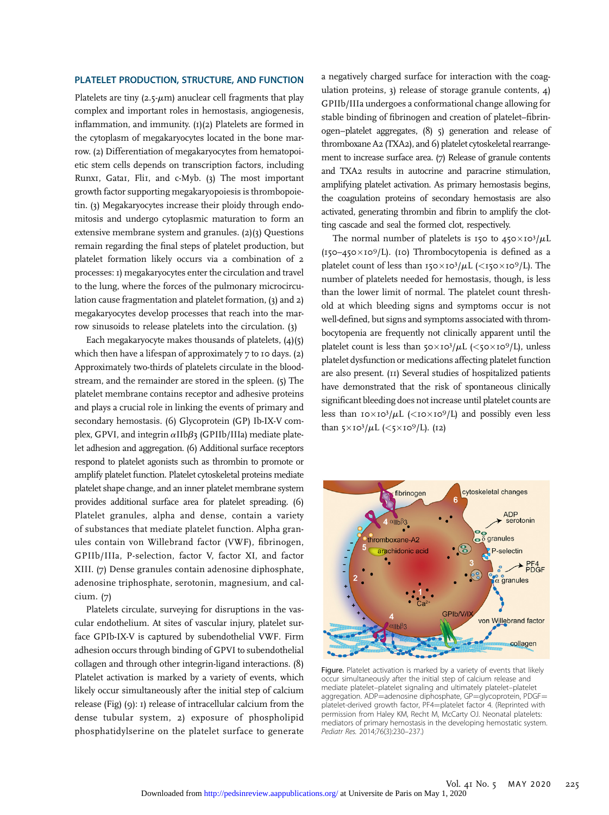#### PLATELET PRODUCTION, STRUCTURE, AND FUNCTION

Platelets are tiny  $(2.5 \cdot \mu m)$  anuclear cell fragments that play complex and important roles in hemostasis, angiogenesis, inflammation, and immunity. (1)(2) Platelets are formed in the cytoplasm of megakaryocytes located in the bone marrow. (2) Differentiation of megakaryocytes from hematopoietic stem cells depends on transcription factors, including Runx1, Gata1, Fli1, and c-Myb. (3) The most important growth factor supporting megakaryopoiesis is thrombopoietin. (3) Megakaryocytes increase their ploidy through endomitosis and undergo cytoplasmic maturation to form an extensive membrane system and granules. (2)(3) Questions remain regarding the final steps of platelet production, but platelet formation likely occurs via a combination of 2 processes: 1) megakaryocytes enter the circulation and travel to the lung, where the forces of the pulmonary microcirculation cause fragmentation and platelet formation, (3) and 2) megakaryocytes develop processes that reach into the marrow sinusoids to release platelets into the circulation. (3)

Each megakaryocyte makes thousands of platelets, (4)(5) which then have a lifespan of approximately 7 to 10 days. (2) Approximately two-thirds of platelets circulate in the bloodstream, and the remainder are stored in the spleen. (5) The platelet membrane contains receptor and adhesive proteins and plays a crucial role in linking the events of primary and secondary hemostasis. (6) Glycoprotein (GP) Ib-IX-V complex, GPVI, and integrin  $\alpha$ IIb $\beta$ 3 (GPIIb/IIIa) mediate platelet adhesion and aggregation. (6) Additional surface receptors respond to platelet agonists such as thrombin to promote or amplify platelet function. Platelet cytoskeletal proteins mediate platelet shape change, and an inner platelet membrane system provides additional surface area for platelet spreading. (6) Platelet granules, alpha and dense, contain a variety of substances that mediate platelet function. Alpha granules contain von Willebrand factor (VWF), fibrinogen, GPIIb/IIIa, P-selection, factor V, factor XI, and factor XIII. (7) Dense granules contain adenosine diphosphate, adenosine triphosphate, serotonin, magnesium, and calcium. (7)

Platelets circulate, surveying for disruptions in the vascular endothelium. At sites of vascular injury, platelet surface GPIb-IX-V is captured by subendothelial VWF. Firm adhesion occurs through binding of GPVI to subendothelial collagen and through other integrin-ligand interactions. (8) Platelet activation is marked by a variety of events, which likely occur simultaneously after the initial step of calcium release (Fig) (9): 1) release of intracellular calcium from the dense tubular system, 2) exposure of phospholipid phosphatidylserine on the platelet surface to generate a negatively charged surface for interaction with the coagulation proteins, 3) release of storage granule contents, 4) GPIIb/IIIa undergoes a conformational change allowing for stable binding of fibrinogen and creation of platelet–fibrinogen–platelet aggregates, (8) 5) generation and release of thromboxane A2 (TXA2), and 6) platelet cytoskeletal rearrangement to increase surface area. (7) Release of granule contents and TXA2 results in autocrine and paracrine stimulation, amplifying platelet activation. As primary hemostasis begins, the coagulation proteins of secondary hemostasis are also activated, generating thrombin and fibrin to amplify the clotting cascade and seal the formed clot, respectively.

The normal number of platelets is 150 to  $450\times10^{3}/\mu L$  $(150-450\times10^{9}/L)$ . (10) Thrombocytopenia is defined as a platelet count of less than  $150 \times 10^3/\mu$ L ( $\lt 150 \times 10^9/\text{L}$ ). The number of platelets needed for hemostasis, though, is less than the lower limit of normal. The platelet count threshold at which bleeding signs and symptoms occur is not well-defined, but signs and symptoms associated with thrombocytopenia are frequently not clinically apparent until the platelet count is less than  $50\times10^{3}/\mu$ L (<50 $\times10^{9}/$ L), unless platelet dysfunction or medications affecting platelet function are also present. (11) Several studies of hospitalized patients have demonstrated that the risk of spontaneous clinically significant bleeding does not increase until platelet counts are less than  $10\times10^3/\mu$ L ( $\lt 10\times10^9/\mu$ ) and possibly even less than  $5\times10^3/\mu L$  (<5 $\times10^9/L$ ). (12)



Figure. Platelet activation is marked by a variety of events that likely occur simultaneously after the initial step of calcium release and mediate platelet–platelet signaling and ultimately platelet–platelet aggregation. ADP=adenosine diphosphate, GP=glycoprotein, PDGF= platelet-derived growth factor, PF4=platelet factor 4. (Reprinted with permission from Haley KM, Recht M, McCarty OJ. Neonatal platelets: mediators of primary hemostasis in the developing hemostatic system. Pediatr Res. 2014;76(3):230–237.)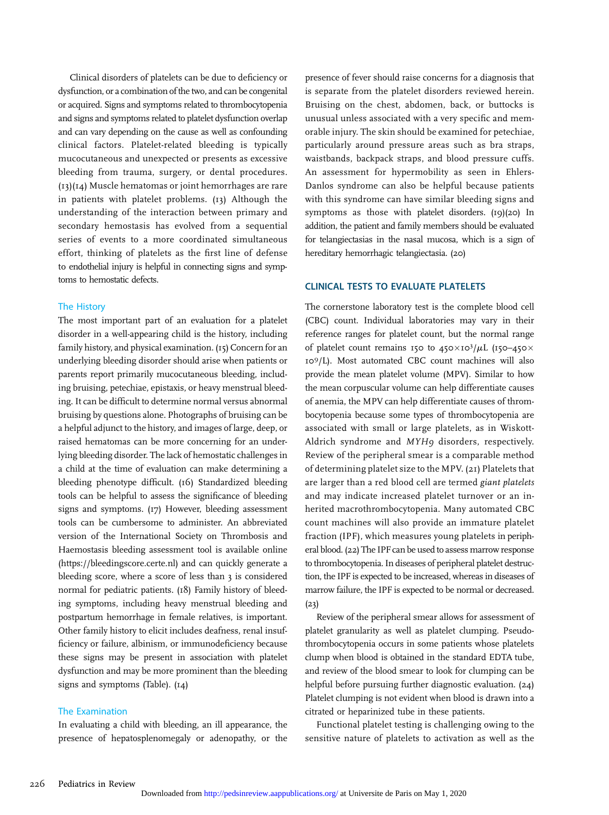Clinical disorders of platelets can be due to deficiency or dysfunction, or a combination of the two, and can be congenital or acquired. Signs and symptoms related to thrombocytopenia and signs and symptoms related to platelet dysfunction overlap and can vary depending on the cause as well as confounding clinical factors. Platelet-related bleeding is typically mucocutaneous and unexpected or presents as excessive bleeding from trauma, surgery, or dental procedures. (13)(14) Muscle hematomas or joint hemorrhages are rare in patients with platelet problems. (13) Although the understanding of the interaction between primary and secondary hemostasis has evolved from a sequential series of events to a more coordinated simultaneous effort, thinking of platelets as the first line of defense to endothelial injury is helpful in connecting signs and symptoms to hemostatic defects.

#### The History

The most important part of an evaluation for a platelet disorder in a well-appearing child is the history, including family history, and physical examination. (15) Concern for an underlying bleeding disorder should arise when patients or parents report primarily mucocutaneous bleeding, including bruising, petechiae, epistaxis, or heavy menstrual bleeding. It can be difficult to determine normal versus abnormal bruising by questions alone. Photographs of bruising can be a helpful adjunct to the history, and images of large, deep, or raised hematomas can be more concerning for an underlying bleeding disorder. The lack of hemostatic challenges in a child at the time of evaluation can make determining a bleeding phenotype difficult. (16) Standardized bleeding tools can be helpful to assess the significance of bleeding signs and symptoms. (17) However, bleeding assessment tools can be cumbersome to administer. An abbreviated version of the International Society on Thrombosis and Haemostasis bleeding assessment tool is available online (https://bleedingscore.certe.nl) and can quickly generate a bleeding score, where a score of less than 3 is considered normal for pediatric patients. (18) Family history of bleeding symptoms, including heavy menstrual bleeding and postpartum hemorrhage in female relatives, is important. Other family history to elicit includes deafness, renal insufficiency or failure, albinism, or immunodeficiency because these signs may be present in association with platelet dysfunction and may be more prominent than the bleeding signs and symptoms (Table). (14)

#### The Examination

In evaluating a child with bleeding, an ill appearance, the presence of hepatosplenomegaly or adenopathy, or the

presence of fever should raise concerns for a diagnosis that is separate from the platelet disorders reviewed herein. Bruising on the chest, abdomen, back, or buttocks is unusual unless associated with a very specific and memorable injury. The skin should be examined for petechiae, particularly around pressure areas such as bra straps, waistbands, backpack straps, and blood pressure cuffs. An assessment for hypermobility as seen in Ehlers-Danlos syndrome can also be helpful because patients with this syndrome can have similar bleeding signs and symptoms as those with platelet disorders. (19)(20) In addition, the patient and family members should be evaluated for telangiectasias in the nasal mucosa, which is a sign of hereditary hemorrhagic telangiectasia. (20)

#### CLINICAL TESTS TO EVALUATE PLATELETS

The cornerstone laboratory test is the complete blood cell (CBC) count. Individual laboratories may vary in their reference ranges for platelet count, but the normal range of platelet count remains 150 to  $450\times10^{3}/\mu$ L (150–450 $\times$ 109/L). Most automated CBC count machines will also provide the mean platelet volume (MPV). Similar to how the mean corpuscular volume can help differentiate causes of anemia, the MPV can help differentiate causes of thrombocytopenia because some types of thrombocytopenia are associated with small or large platelets, as in Wiskott-Aldrich syndrome and MYH9 disorders, respectively. Review of the peripheral smear is a comparable method of determining platelet size to the MPV. (21) Platelets that are larger than a red blood cell are termed giant platelets and may indicate increased platelet turnover or an inherited macrothrombocytopenia. Many automated CBC count machines will also provide an immature platelet fraction (IPF), which measures young platelets in peripheral blood. (22) The IPF can be used to assess marrow response to thrombocytopenia. In diseases of peripheral platelet destruction, the IPF is expected to be increased, whereas in diseases of marrow failure, the IPF is expected to be normal or decreased. (23)

Review of the peripheral smear allows for assessment of platelet granularity as well as platelet clumping. Pseudothrombocytopenia occurs in some patients whose platelets clump when blood is obtained in the standard EDTA tube, and review of the blood smear to look for clumping can be helpful before pursuing further diagnostic evaluation. (24) Platelet clumping is not evident when blood is drawn into a citrated or heparinized tube in these patients.

Functional platelet testing is challenging owing to the sensitive nature of platelets to activation as well as the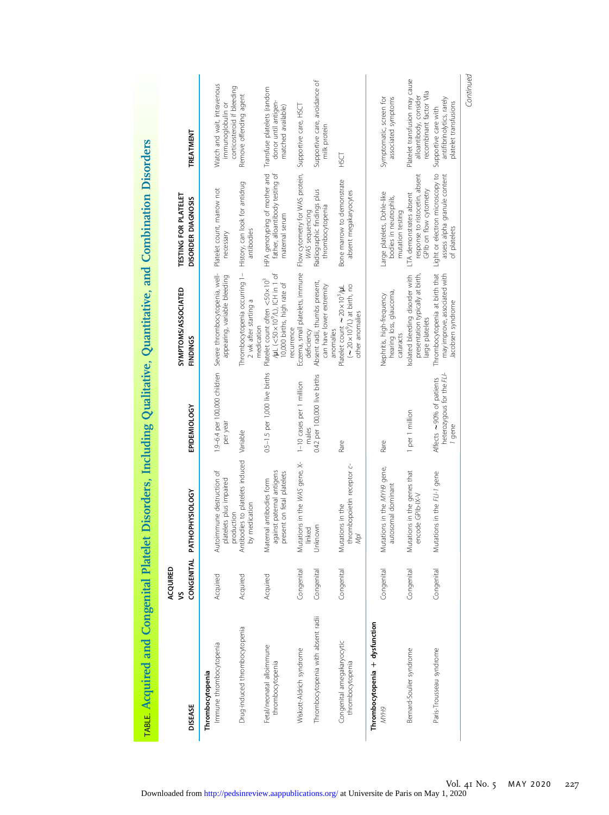| ֡֘                                                                                       |  |
|------------------------------------------------------------------------------------------|--|
|                                                                                          |  |
|                                                                                          |  |
|                                                                                          |  |
|                                                                                          |  |
|                                                                                          |  |
|                                                                                          |  |
|                                                                                          |  |
|                                                                                          |  |
| j                                                                                        |  |
|                                                                                          |  |
|                                                                                          |  |
|                                                                                          |  |
|                                                                                          |  |
|                                                                                          |  |
|                                                                                          |  |
|                                                                                          |  |
|                                                                                          |  |
| Į                                                                                        |  |
|                                                                                          |  |
|                                                                                          |  |
|                                                                                          |  |
|                                                                                          |  |
| İ                                                                                        |  |
|                                                                                          |  |
|                                                                                          |  |
|                                                                                          |  |
|                                                                                          |  |
|                                                                                          |  |
|                                                                                          |  |
|                                                                                          |  |
| $\frac{1}{2}$                                                                            |  |
|                                                                                          |  |
| Ì                                                                                        |  |
|                                                                                          |  |
| ׆<br>֧                                                                                   |  |
|                                                                                          |  |
|                                                                                          |  |
|                                                                                          |  |
|                                                                                          |  |
| J                                                                                        |  |
|                                                                                          |  |
|                                                                                          |  |
|                                                                                          |  |
|                                                                                          |  |
|                                                                                          |  |
|                                                                                          |  |
| $\mathcal{L}(\mathcal{L})$ and $\mathcal{L}(\mathcal{L})$ and $\mathcal{L}(\mathcal{L})$ |  |
|                                                                                          |  |
|                                                                                          |  |

|                                                | ACQUIRED             |                                                                                     |                                                                 |                                                                                                                                    |                                                                                                               |                                                                                     |
|------------------------------------------------|----------------------|-------------------------------------------------------------------------------------|-----------------------------------------------------------------|------------------------------------------------------------------------------------------------------------------------------------|---------------------------------------------------------------------------------------------------------------|-------------------------------------------------------------------------------------|
| <b>DISEASE</b>                                 | CONGENITAL PATI<br>S | <b>HOPHYSIOLOGY</b>                                                                 | EPIDEMIOLOGY                                                    | SYMPTOMS/ASSOCIATED<br>FINDINGS                                                                                                    | <b>TESTING FOR PLATELET</b><br>DISORDER DIAGNOSIS                                                             | TREATMENT                                                                           |
| Immune thrombocytopenia<br>Thrombocytopenia    | Acquired             | Autoimmune destruction of<br>platelets plus impaired<br>production                  | per year                                                        | 1.9-6.4 per 100,000 children Severe thrombocytopenia, well- Platelet count, marrow not<br>appearing, variable bleeding             | necessary                                                                                                     | Watch and wait, intravenous<br>corticosteroid if bleeding<br>immunoglobulin or      |
| Drug-induced thrombocytopenia                  | Acquired             | Antibodies to platelets induced Variable<br>by medication                           |                                                                 | Thrombocytopenia occurring 1-<br>2 wk after starting a<br>medication                                                               | History, can look for antidrug<br>antibodies                                                                  | Remove offending agent                                                              |
| Fetal/neonatal alloimmune<br>thrombocytopenia  | Acquired             | against paternal antigens<br>present on fetal platelets<br>Maternal antibodies form | 0.5-1.5 per 1,000 live births                                   | /µL (<50×10 <sup>9</sup> /L), ICH in 1 of<br>Platelet count often <50×10 <sup>3</sup><br>10,000 births, high rate of<br>recurrence | HPA genotyping of mother and Transfuse platelets (random<br>father, alloantibody testing of<br>maternal serum | donor until antigen-<br>matched available)                                          |
| Wiskott-Aldrich syndrome                       | Congenital           | Mutations in the WAS gene, X-<br>linked                                             | 1-10 cases per 1 million<br>males                               | Eczema, small platelets, immune<br>deficiency                                                                                      | Flow cytometry for WAS protein, Supportive care, HSCT<br><b>WAS</b> sequencing                                |                                                                                     |
| Thrombocytopenia with absent radii             | Congenital           | Unknown                                                                             | 0.42 per 100,000 live births                                    | Absent radii, thumbs present,<br>can have lower extremity<br>anomalies                                                             | Radiographic findings plus<br>thrombocytopenia                                                                | Supportive care, avoidance of<br>milk protein                                       |
| Congenital amegakaryocytic<br>thrombocytopenia | Congenital           | thrombopoietin receptor c-<br>Mutations in the<br>Npl                               | Rare                                                            | $(-20 \times 10^9/\text{L})$ at birth, no<br>Platelet count $\sim$ 20×10 <sup>3</sup> /µL<br>other anomalies                       | Bone marrow to demonstrate<br>absent megakaryocytes                                                           | HSCT                                                                                |
| Thrombocytopenia + dysfunction                 |                      |                                                                                     |                                                                 |                                                                                                                                    |                                                                                                               |                                                                                     |
| 6HAW                                           | Congenital           | Mutations in the MYH9 gene,<br>autosomal dominant                                   | Rare                                                            | hearing loss, glaucoma,<br>Nephritis, high-frequency<br><b>Cataracts</b>                                                           | Large platelets, Dohle-like<br>bodies in neutrophils,<br>mutation testing                                     | associated symptoms<br>Symptomatic, screen for                                      |
| Bernard-Soulier syndrome                       | Congenital           | Mutations in the genes that<br>encode GPIb-IX-V                                     | 1 per 1 million                                                 | presentation typically at birth,<br>Isolated bleeding disorder with<br>large platelets                                             | response to ristocetin, absent<br>GPIb on flow cytometry<br>LTA demonstrates absent                           | Platelet transfusion may cause<br>recombinant factor Vila<br>alloantibody, consider |
| Paris-Trousseau syndrome                       | Congenital           | Mutations in the FLI-1 gene                                                         | heterozygous for the FLI-<br>Affects ~90% of patients<br>1 gene | Thrombocytopenia at birth that<br>may improve, associated with<br>Jacobsen syndrome                                                | Light or electron microscopy to<br>assess alpha granule content<br>of platelets                               | antifibrinolytics, rarely<br>platelet transfusions<br>Supportive care with          |

Continued Continued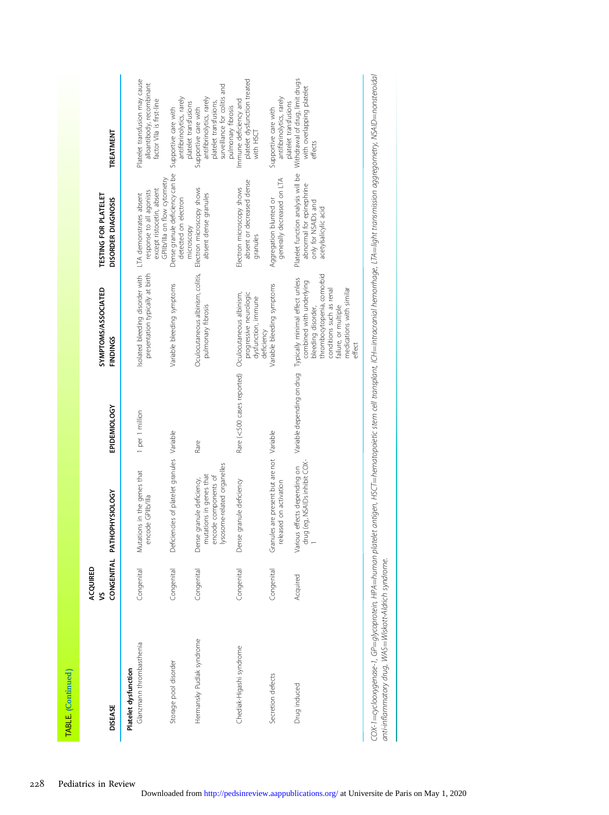| TABLE. (Continued)                               |               |                                                                                                             |                            |                                                                                                                                                                                                                                      |                                                                                                                  |                                                                                                                                   |
|--------------------------------------------------|---------------|-------------------------------------------------------------------------------------------------------------|----------------------------|--------------------------------------------------------------------------------------------------------------------------------------------------------------------------------------------------------------------------------------|------------------------------------------------------------------------------------------------------------------|-----------------------------------------------------------------------------------------------------------------------------------|
| <b>DISEASE</b>                                   | ACQUIRED<br>Š | CONGENITAL PATHOPHYSIOLOGY                                                                                  | EPIDEMIOLOGY               | SYMPTOMS/ASSOCIATED<br>FINDINGS                                                                                                                                                                                                      | <b>TESTING FOR PLATELET</b><br>DISORDER DIAGNOSIS                                                                | <b><i>TREATMENT</i></b>                                                                                                           |
| Glanzmann thrombasthenia<br>Platelet dysfunction | Congenital    | Mutations in the genes that<br>encode GPIIb/Illa                                                            | 1 per 1 million            | presentation typically at birth<br>solated bleeding disorder with                                                                                                                                                                    | GPIIb/Illa on flow cytometry<br>except ristocetin, absent<br>response to all agonists<br>LTA demonstrates absent | Platelet transfusion may cause<br>alloantibody, recombinant<br>factor VIIa is first-line                                          |
| Storage pool disorder                            | Congenital    | Deficiencies of platelet granules Variable                                                                  |                            | Variable bleeding symptoms                                                                                                                                                                                                           | Dense granule deficiency can be<br>detected on electron<br>microscopy                                            | antifibrinolytics, rarely<br>platelet transfusions<br>Supportive care with                                                        |
| Hermansky Pudlak syndrome                        | Congenital    | lysosome-related organelles<br>mutations in genes that<br>encode components of<br>Dense granule deficiency, | Rare                       | Oculocutaneous albinism, colitis,<br>pulmonary fibrosis                                                                                                                                                                              | Electron microscopy shows<br>absent dense granules                                                               | surveillance for colitis and<br>antifibrinolytics, rarely<br>platelet transfusions,<br>pulmonary fibrosis<br>Supportive care with |
| Chediak-Higashi syndrome                         | Congenital    | Dense granule deficiency                                                                                    | Rare (<500 cases reported) | progressive neurologic<br>Oculocutaneous albinism,<br>dysfunction, immune<br>deficiency                                                                                                                                              | absent or decreased dense<br>Electron microscopy shows<br>granules                                               | platelet dysfunction treated<br>Immune deficiency and<br>with HSCT                                                                |
| Secretion defects                                | Congenital    | ales are present but are not Variable<br>released on activation<br>Granu                                    |                            | Variable bleeding symptoms                                                                                                                                                                                                           | generally decreased on LTA<br>Aggregation blunted or                                                             | antifibrinolytics, rarely<br>platelet transfusions<br>Supportive care with                                                        |
| Drug induced                                     | Acquired      | drug (eg, NSAIDs inhibit COX<br>Various effects depending on                                                |                            | thrombocytopenia, comorbid<br>Variable depending on drug Typically minimal effect unless<br>combined with underlying<br>conditions such as renal<br>medications with similar<br>bleeding disorder,<br>failure, or multiple<br>effect | Platelet function analysis will be<br>abnormal for epinephrine<br>only for NSAIDs and<br>acetylsalicylic acid    | Withdrawal of drug, limit drugs<br>with overlapping platelet<br>effects                                                           |

COX-1=0ydooxygenase-1, GP=glycoprotein, HPA=human platelet antigen, HSCT=hematopoietic stem cell transplant, ICH=intracranial hemorrhage, LTA=light transmission aggregometry, NSAID=nonsteroidal<br>ant-inflammatory drug, WAS= ¼cyclooxygenase-1, GP ¼glycoprotein, HPA  $\equiv$ human platelet antigen, HSCT $\equiv$ hematopoietic stem cell transplant, ICH ¼intracranial hemorrhage, LTA ¼light transmission aggregometry, NSAID ¼nonsteroidal anti-inflammatory drug, WAS ¼Wiskott-Aldrich syndrome.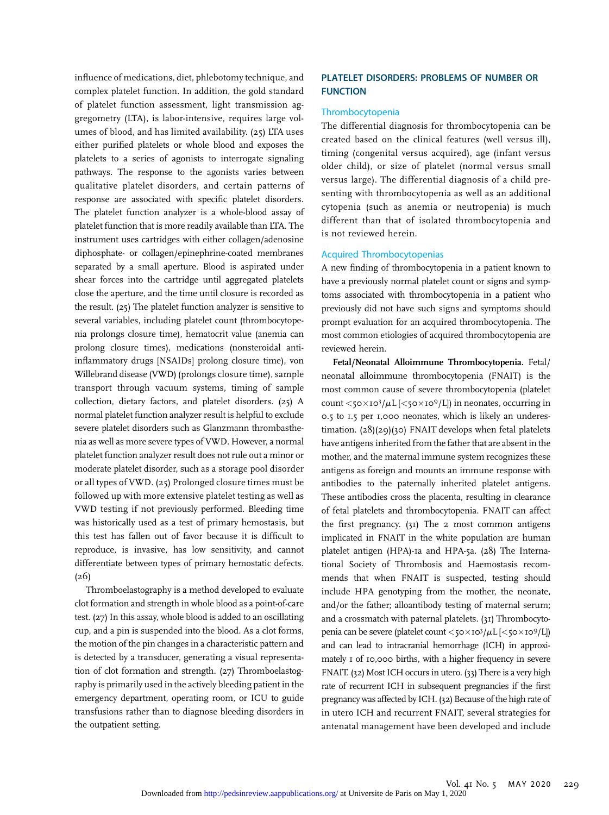influence of medications, diet, phlebotomy technique, and complex platelet function. In addition, the gold standard of platelet function assessment, light transmission aggregometry (LTA), is labor-intensive, requires large volumes of blood, and has limited availability. (25) LTA uses either purified platelets or whole blood and exposes the platelets to a series of agonists to interrogate signaling pathways. The response to the agonists varies between qualitative platelet disorders, and certain patterns of response are associated with specific platelet disorders. The platelet function analyzer is a whole-blood assay of platelet function that is more readily available than LTA. The instrument uses cartridges with either collagen/adenosine diphosphate- or collagen/epinephrine-coated membranes separated by a small aperture. Blood is aspirated under shear forces into the cartridge until aggregated platelets close the aperture, and the time until closure is recorded as the result. (25) The platelet function analyzer is sensitive to several variables, including platelet count (thrombocytopenia prolongs closure time), hematocrit value (anemia can prolong closure times), medications (nonsteroidal antiinflammatory drugs [NSAIDs] prolong closure time), von Willebrand disease (VWD) (prolongs closure time), sample transport through vacuum systems, timing of sample collection, dietary factors, and platelet disorders. (25) A normal platelet function analyzer result is helpful to exclude severe platelet disorders such as Glanzmann thrombasthenia as well as more severe types of VWD. However, a normal platelet function analyzer result does not rule out a minor or moderate platelet disorder, such as a storage pool disorder or all types of VWD. (25) Prolonged closure times must be followed up with more extensive platelet testing as well as VWD testing if not previously performed. Bleeding time was historically used as a test of primary hemostasis, but this test has fallen out of favor because it is difficult to reproduce, is invasive, has low sensitivity, and cannot differentiate between types of primary hemostatic defects. (26)

Thromboelastography is a method developed to evaluate clot formation and strength in whole blood as a point-of-care test. (27) In this assay, whole blood is added to an oscillating cup, and a pin is suspended into the blood. As a clot forms, the motion of the pin changes in a characteristic pattern and is detected by a transducer, generating a visual representation of clot formation and strength. (27) Thromboelastography is primarily used in the actively bleeding patient in the emergency department, operating room, or ICU to guide transfusions rather than to diagnose bleeding disorders in the outpatient setting.

## PLATELET DISORDERS: PROBLEMS OF NUMBER OR **FUNCTION**

#### Thrombocytopenia

The differential diagnosis for thrombocytopenia can be created based on the clinical features (well versus ill), timing (congenital versus acquired), age (infant versus older child), or size of platelet (normal versus small versus large). The differential diagnosis of a child presenting with thrombocytopenia as well as an additional cytopenia (such as anemia or neutropenia) is much different than that of isolated thrombocytopenia and is not reviewed herein.

#### Acquired Thrombocytopenias

A new finding of thrombocytopenia in a patient known to have a previously normal platelet count or signs and symptoms associated with thrombocytopenia in a patient who previously did not have such signs and symptoms should prompt evaluation for an acquired thrombocytopenia. The most common etiologies of acquired thrombocytopenia are reviewed herein.

Fetal/Neonatal Alloimmune Thrombocytopenia. Fetal/ neonatal alloimmune thrombocytopenia (FNAIT) is the most common cause of severe thrombocytopenia (platelet  $\text{count} \leq 50 \times 10^3/\mu\text{L}$  [ $\leq 50 \times 10^9/\text{L}$ ]) in neonates, occurring in 0.5 to 1.5 per 1,000 neonates, which is likely an underestimation. (28)(29)(30) FNAIT develops when fetal platelets have antigens inherited from the father that are absent in the mother, and the maternal immune system recognizes these antigens as foreign and mounts an immune response with antibodies to the paternally inherited platelet antigens. These antibodies cross the placenta, resulting in clearance of fetal platelets and thrombocytopenia. FNAIT can affect the first pregnancy. (31) The 2 most common antigens implicated in FNAIT in the white population are human platelet antigen (HPA)-1a and HPA-5a. (28) The International Society of Thrombosis and Haemostasis recommends that when FNAIT is suspected, testing should include HPA genotyping from the mother, the neonate, and/or the father; alloantibody testing of maternal serum; and a crossmatch with paternal platelets. (31) Thrombocytopenia can be severe (platelet count  $\langle 50 \times 10^3/\mu L [\langle 50 \times 10^9/L] \rangle$ and can lead to intracranial hemorrhage (ICH) in approximately 1 of 10,000 births, with a higher frequency in severe FNAIT. (32) Most ICH occurs in utero. (33) There is a very high rate of recurrent ICH in subsequent pregnancies if the first pregnancy was affected by ICH. (32) Because of the high rate of in utero ICH and recurrent FNAIT, several strategies for antenatal management have been developed and include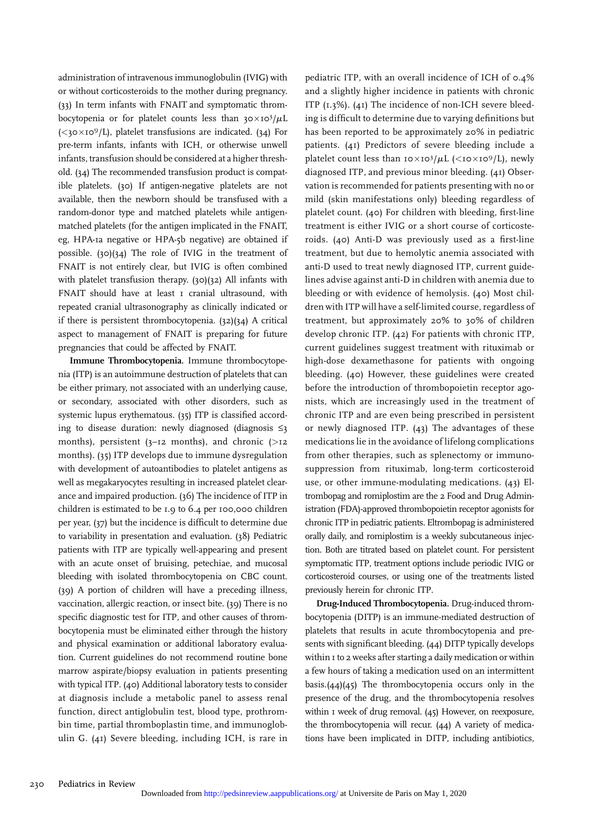administration of intravenous immunoglobulin (IVIG) with or without corticosteroids to the mother during pregnancy. (33) In term infants with FNAIT and symptomatic thrombocytopenia or for platelet counts less than  $30\times10^3/\mu$ L  $(<$ 30 $\times$ 10<sup>9</sup>/L), platelet transfusions are indicated. (34) For pre-term infants, infants with ICH, or otherwise unwell infants, transfusion should be considered at a higher threshold. (34) The recommended transfusion product is compatible platelets. (30) If antigen-negative platelets are not available, then the newborn should be transfused with a random-donor type and matched platelets while antigenmatched platelets (for the antigen implicated in the FNAIT, eg, HPA-1a negative or HPA-5b negative) are obtained if possible. (30)(34) The role of IVIG in the treatment of FNAIT is not entirely clear, but IVIG is often combined with platelet transfusion therapy. (30)(32) All infants with FNAIT should have at least I cranial ultrasound, with repeated cranial ultrasonography as clinically indicated or if there is persistent thrombocytopenia. (32)(34) A critical aspect to management of FNAIT is preparing for future pregnancies that could be affected by FNAIT.

Immune Thrombocytopenia. Immune thrombocytopenia (ITP) is an autoimmune destruction of platelets that can be either primary, not associated with an underlying cause, or secondary, associated with other disorders, such as systemic lupus erythematous. (35) ITP is classified according to disease duration: newly diagnosed (diagnosis  $\leq$ 3 months), persistent ( $3$ –12 months), and chronic ( $>12$ months). (35) ITP develops due to immune dysregulation with development of autoantibodies to platelet antigens as well as megakaryocytes resulting in increased platelet clearance and impaired production. (36) The incidence of ITP in children is estimated to be 1.9 to 6.4 per 100,000 children per year, (37) but the incidence is difficult to determine due to variability in presentation and evaluation. (38) Pediatric patients with ITP are typically well-appearing and present with an acute onset of bruising, petechiae, and mucosal bleeding with isolated thrombocytopenia on CBC count. (39) A portion of children will have a preceding illness, vaccination, allergic reaction, or insect bite. (39) There is no specific diagnostic test for ITP, and other causes of thrombocytopenia must be eliminated either through the history and physical examination or additional laboratory evaluation. Current guidelines do not recommend routine bone marrow aspirate/biopsy evaluation in patients presenting with typical ITP. (40) Additional laboratory tests to consider at diagnosis include a metabolic panel to assess renal function, direct antiglobulin test, blood type, prothrombin time, partial thromboplastin time, and immunoglobulin G. (41) Severe bleeding, including ICH, is rare in pediatric ITP, with an overall incidence of ICH of 0.4% and a slightly higher incidence in patients with chronic ITP (1.3%). (41) The incidence of non-ICH severe bleeding is difficult to determine due to varying definitions but has been reported to be approximately 20% in pediatric patients. (41) Predictors of severe bleeding include a platelet count less than  $10 \times 10^3/\mu L$  (<10 $\times 10^9/L$ ), newly diagnosed ITP, and previous minor bleeding. (41) Observation is recommended for patients presenting with no or mild (skin manifestations only) bleeding regardless of platelet count. (40) For children with bleeding, first-line treatment is either IVIG or a short course of corticosteroids. (40) Anti-D was previously used as a first-line treatment, but due to hemolytic anemia associated with anti-D used to treat newly diagnosed ITP, current guidelines advise against anti-D in children with anemia due to bleeding or with evidence of hemolysis. (40) Most children with ITP will have a self-limited course, regardless of treatment, but approximately 20% to 30% of children develop chronic ITP. (42) For patients with chronic ITP, current guidelines suggest treatment with rituximab or high-dose dexamethasone for patients with ongoing bleeding. (40) However, these guidelines were created before the introduction of thrombopoietin receptor agonists, which are increasingly used in the treatment of chronic ITP and are even being prescribed in persistent or newly diagnosed ITP. (43) The advantages of these medications lie in the avoidance of lifelong complications from other therapies, such as splenectomy or immunosuppression from rituximab, long-term corticosteroid use, or other immune-modulating medications. (43) Eltrombopag and romiplostim are the 2 Food and Drug Administration (FDA)-approved thrombopoietin receptor agonists for chronic ITP in pediatric patients. Eltrombopag is administered orally daily, and romiplostim is a weekly subcutaneous injection. Both are titrated based on platelet count. For persistent symptomatic ITP, treatment options include periodic IVIG or corticosteroid courses, or using one of the treatments listed previously herein for chronic ITP.

Drug-Induced Thrombocytopenia. Drug-induced thrombocytopenia (DITP) is an immune-mediated destruction of platelets that results in acute thrombocytopenia and presents with significant bleeding. (44) DITP typically develops within 1 to 2 weeks after starting a daily medication or within a few hours of taking a medication used on an intermittent basis.(44)(45) The thrombocytopenia occurs only in the presence of the drug, and the thrombocytopenia resolves within I week of drug removal. (45) However, on reexposure, the thrombocytopenia will recur. (44) A variety of medications have been implicated in DITP, including antibiotics,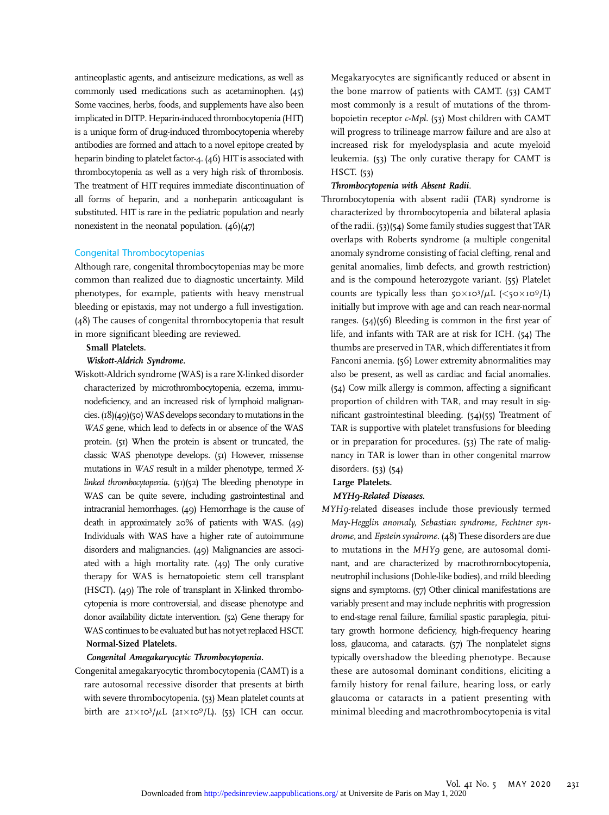antineoplastic agents, and antiseizure medications, as well as commonly used medications such as acetaminophen. (45) Some vaccines, herbs, foods, and supplements have also been implicated in DITP. Heparin-induced thrombocytopenia (HIT) is a unique form of drug-induced thrombocytopenia whereby antibodies are formed and attach to a novel epitope created by heparin binding to platelet factor-4. (46) HIT is associated with thrombocytopenia as well as a very high risk of thrombosis. The treatment of HIT requires immediate discontinuation of all forms of heparin, and a nonheparin anticoagulant is substituted. HIT is rare in the pediatric population and nearly nonexistent in the neonatal population.  $(46)(47)$ 

#### Congenital Thrombocytopenias

Although rare, congenital thrombocytopenias may be more common than realized due to diagnostic uncertainty. Mild phenotypes, for example, patients with heavy menstrual bleeding or epistaxis, may not undergo a full investigation. (48) The causes of congenital thrombocytopenia that result in more significant bleeding are reviewed.

#### Small Platelets.

#### Wiskott-Aldrich Syndrome.

Wiskott-Aldrich syndrome (WAS) is a rare X-linked disorder characterized by microthrombocytopenia, eczema, immunodeficiency, and an increased risk of lymphoid malignancies.  $(18)(49)(50)$ WAS develops secondary to mutations in the WAS gene, which lead to defects in or absence of the WAS protein. (51) When the protein is absent or truncated, the classic WAS phenotype develops. (51) However, missense mutations in WAS result in a milder phenotype, termed Xlinked thrombocytopenia. (51)(52) The bleeding phenotype in WAS can be quite severe, including gastrointestinal and intracranial hemorrhages. (49) Hemorrhage is the cause of death in approximately 20% of patients with WAS. (49) Individuals with WAS have a higher rate of autoimmune disorders and malignancies. (49) Malignancies are associated with a high mortality rate. (49) The only curative therapy for WAS is hematopoietic stem cell transplant (HSCT). (49) The role of transplant in X-linked thrombocytopenia is more controversial, and disease phenotype and donor availability dictate intervention. (52) Gene therapy for WAS continues to be evaluated but has not yet replaced HSCT. Normal-Sized Platelets.

#### Congenital Amegakaryocytic Thrombocytopenia.

Congenital amegakaryocytic thrombocytopenia (CAMT) is a rare autosomal recessive disorder that presents at birth with severe thrombocytopenia. (53) Mean platelet counts at birth are  $2I\times I$ 0<sup>3</sup>/ $\mu$ L (2 $I\times I$ 0<sup>9</sup>/L). (53) ICH can occur.

Megakaryocytes are significantly reduced or absent in the bone marrow of patients with CAMT. (53) CAMT most commonly is a result of mutations of the thrombopoietin receptor  $c$ -*Mpl*. (53) Most children with CAMT will progress to trilineage marrow failure and are also at increased risk for myelodysplasia and acute myeloid leukemia. (53) The only curative therapy for CAMT is HSCT. (53)

#### Thrombocytopenia with Absent Radii.

Thrombocytopenia with absent radii (TAR) syndrome is characterized by thrombocytopenia and bilateral aplasia of the radii. (53)(54) Some family studies suggest that TAR overlaps with Roberts syndrome (a multiple congenital anomaly syndrome consisting of facial clefting, renal and genital anomalies, limb defects, and growth restriction) and is the compound heterozygote variant. (55) Platelet counts are typically less than  $50\times10^3/\mu$ L ( $50\times10^9/\mu$ ) initially but improve with age and can reach near-normal ranges. (54)(56) Bleeding is common in the first year of life, and infants with TAR are at risk for ICH. (54) The thumbs are preserved in TAR, which differentiates it from Fanconi anemia. (56) Lower extremity abnormalities may also be present, as well as cardiac and facial anomalies. (54) Cow milk allergy is common, affecting a significant proportion of children with TAR, and may result in significant gastrointestinal bleeding. (54)(55) Treatment of TAR is supportive with platelet transfusions for bleeding or in preparation for procedures. (53) The rate of malignancy in TAR is lower than in other congenital marrow disorders. (53) (54)

#### Large Platelets.

#### MYH9-Related Diseases.

MYH9-related diseases include those previously termed May-Hegglin anomaly, Sebastian syndrome, Fechtner syndrome, and Epstein syndrome. (48) These disorders are due to mutations in the MHY9 gene, are autosomal dominant, and are characterized by macrothrombocytopenia, neutrophil inclusions (Dohle-like bodies), and mild bleeding signs and symptoms. (57) Other clinical manifestations are variably present and may include nephritis with progression to end-stage renal failure, familial spastic paraplegia, pituitary growth hormone deficiency, high-frequency hearing loss, glaucoma, and cataracts. (57) The nonplatelet signs typically overshadow the bleeding phenotype. Because these are autosomal dominant conditions, eliciting a family history for renal failure, hearing loss, or early glaucoma or cataracts in a patient presenting with minimal bleeding and macrothrombocytopenia is vital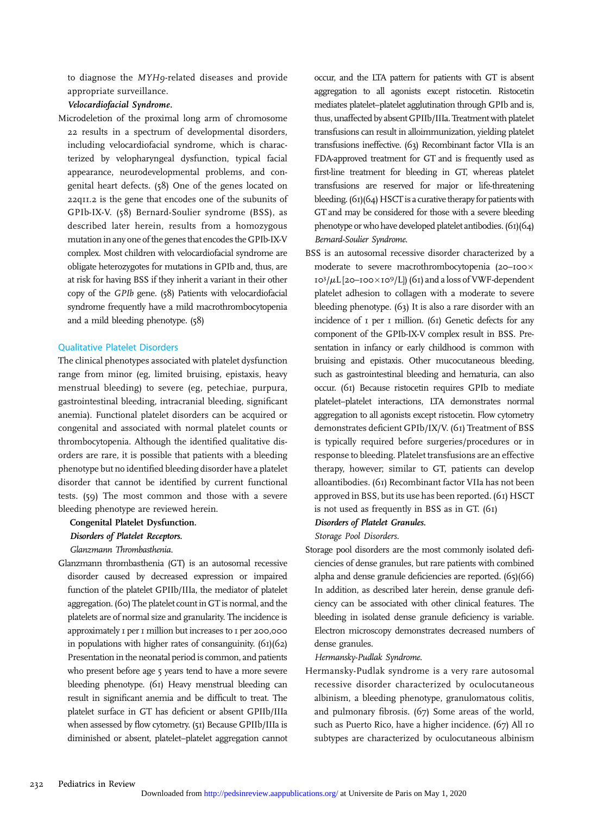to diagnose the MYH9-related diseases and provide appropriate surveillance.

### Velocardiofacial Syndrome.

Microdeletion of the proximal long arm of chromosome 22 results in a spectrum of developmental disorders, including velocardiofacial syndrome, which is characterized by velopharyngeal dysfunction, typical facial appearance, neurodevelopmental problems, and congenital heart defects. (58) One of the genes located on 22q11.2 is the gene that encodes one of the subunits of GPIb-IX-V. (58) Bernard-Soulier syndrome (BSS), as described later herein, results from a homozygous mutation in any one of the genes that encodes the GPIb-IX-V complex. Most children with velocardiofacial syndrome are obligate heterozygotes for mutations in GPIb and, thus, are at risk for having BSS if they inherit a variant in their other copy of the GPIb gene. (58) Patients with velocardiofacial syndrome frequently have a mild macrothrombocytopenia and a mild bleeding phenotype. (58)

#### Qualitative Platelet Disorders

The clinical phenotypes associated with platelet dysfunction range from minor (eg, limited bruising, epistaxis, heavy menstrual bleeding) to severe (eg, petechiae, purpura, gastrointestinal bleeding, intracranial bleeding, significant anemia). Functional platelet disorders can be acquired or congenital and associated with normal platelet counts or thrombocytopenia. Although the identified qualitative disorders are rare, it is possible that patients with a bleeding phenotype but no identified bleeding disorder have a platelet disorder that cannot be identified by current functional tests. (59) The most common and those with a severe bleeding phenotype are reviewed herein.

#### Congenital Platelet Dysfunction.

#### Disorders of Platelet Receptors.

Glanzmann Thrombasthenia.

Glanzmann thrombasthenia (GT) is an autosomal recessive disorder caused by decreased expression or impaired function of the platelet GPIIb/IIIa, the mediator of platelet aggregation. (60) The platelet count in GT is normal, and the platelets are of normal size and granularity. The incidence is approximately 1 per 1 million but increases to 1 per 200,000 in populations with higher rates of consanguinity. (61)(62) Presentation in the neonatal period is common, and patients who present before age 5 years tend to have a more severe bleeding phenotype. (61) Heavy menstrual bleeding can result in significant anemia and be difficult to treat. The platelet surface in GT has deficient or absent GPIIb/IIIa when assessed by flow cytometry. (51) Because GPIIb/IIIa is diminished or absent, platelet–platelet aggregation cannot occur, and the LTA pattern for patients with GT is absent aggregation to all agonists except ristocetin. Ristocetin mediates platelet–platelet agglutination through GPIb and is, thus, unaffected by absent GPIIb/IIIa. Treatment with platelet transfusions can result in alloimmunization, yielding platelet transfusions ineffective. (63) Recombinant factor VIIa is an FDA-approved treatment for GT and is frequently used as first-line treatment for bleeding in GT, whereas platelet transfusions are reserved for major or life-threatening bleeding.  $(61)(64)$  HSCT is a curative therapy for patients with GT and may be considered for those with a severe bleeding phenotype or who have developed platelet antibodies. (61)(64) Bernard-Soulier Syndrome.

BSS is an autosomal recessive disorder characterized by a moderate to severe macrothrombocytopenia (20–100  $10^{3}/\mu$ L [20–100 $\times$ 10 $^{9}/$ L]) (61) and a loss of VWF-dependent platelet adhesion to collagen with a moderate to severe bleeding phenotype. (63) It is also a rare disorder with an incidence of 1 per 1 million. (61) Genetic defects for any component of the GPIb-IX-V complex result in BSS. Presentation in infancy or early childhood is common with bruising and epistaxis. Other mucocutaneous bleeding, such as gastrointestinal bleeding and hematuria, can also occur. (61) Because ristocetin requires GPIb to mediate platelet–platelet interactions, LTA demonstrates normal aggregation to all agonists except ristocetin. Flow cytometry demonstrates deficient GPIb/IX/V. (61) Treatment of BSS is typically required before surgeries/procedures or in response to bleeding. Platelet transfusions are an effective therapy, however; similar to GT, patients can develop alloantibodies. (61) Recombinant factor VIIa has not been approved in BSS, but its use has been reported. (61) HSCT is not used as frequently in BSS as in GT. (61)

# Disorders of Platelet Granules.

Storage Pool Disorders.

Storage pool disorders are the most commonly isolated deficiencies of dense granules, but rare patients with combined alpha and dense granule deficiencies are reported. (65)(66) In addition, as described later herein, dense granule deficiency can be associated with other clinical features. The bleeding in isolated dense granule deficiency is variable. Electron microscopy demonstrates decreased numbers of dense granules.

Hermansky-Pudlak Syndrome.

Hermansky-Pudlak syndrome is a very rare autosomal recessive disorder characterized by oculocutaneous albinism, a bleeding phenotype, granulomatous colitis, and pulmonary fibrosis. (67) Some areas of the world, such as Puerto Rico, have a higher incidence. (67) All 10 subtypes are characterized by oculocutaneous albinism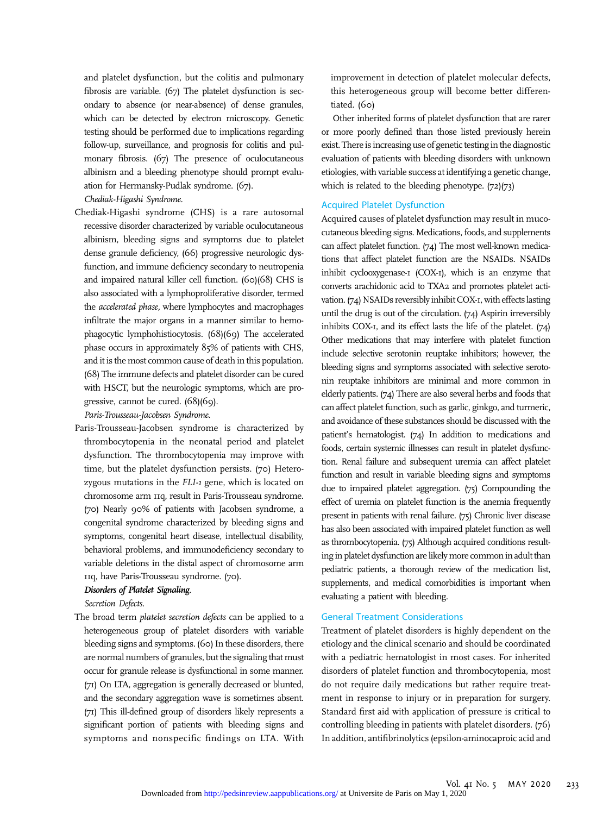and platelet dysfunction, but the colitis and pulmonary fibrosis are variable. (67) The platelet dysfunction is secondary to absence (or near-absence) of dense granules, which can be detected by electron microscopy. Genetic testing should be performed due to implications regarding follow-up, surveillance, and prognosis for colitis and pulmonary fibrosis. (67) The presence of oculocutaneous albinism and a bleeding phenotype should prompt evaluation for Hermansky-Pudlak syndrome. (67).

Chediak-Higashi Syndrome.

Chediak-Higashi syndrome (CHS) is a rare autosomal recessive disorder characterized by variable oculocutaneous albinism, bleeding signs and symptoms due to platelet dense granule deficiency, (66) progressive neurologic dysfunction, and immune deficiency secondary to neutropenia and impaired natural killer cell function. (60)(68) CHS is also associated with a lymphoproliferative disorder, termed the accelerated phase, where lymphocytes and macrophages infiltrate the major organs in a manner similar to hemophagocytic lymphohistiocytosis. (68)(69) The accelerated phase occurs in approximately 85% of patients with CHS, and it is the most common cause of death in this population. (68) The immune defects and platelet disorder can be cured with HSCT, but the neurologic symptoms, which are progressive, cannot be cured. (68)(69).

Paris-Trousseau-Jacobsen Syndrome.

Paris-Trousseau-Jacobsen syndrome is characterized by thrombocytopenia in the neonatal period and platelet dysfunction. The thrombocytopenia may improve with time, but the platelet dysfunction persists. (70) Heterozygous mutations in the FLI-1 gene, which is located on chromosome arm 11q, result in Paris-Trousseau syndrome. (70) Nearly 90% of patients with Jacobsen syndrome, a congenital syndrome characterized by bleeding signs and symptoms, congenital heart disease, intellectual disability, behavioral problems, and immunodeficiency secondary to variable deletions in the distal aspect of chromosome arm 11q, have Paris-Trousseau syndrome. (70).

## Disorders of Platelet Signaling.

Secretion Defects.

The broad term platelet secretion defects can be applied to a heterogeneous group of platelet disorders with variable bleeding signs and symptoms. (60) In these disorders, there are normal numbers of granules, but the signaling that must occur for granule release is dysfunctional in some manner. (71) On LTA, aggregation is generally decreased or blunted, and the secondary aggregation wave is sometimes absent. (71) This ill-defined group of disorders likely represents a significant portion of patients with bleeding signs and symptoms and nonspecific findings on LTA. With

improvement in detection of platelet molecular defects, this heterogeneous group will become better differentiated. (60)

Other inherited forms of platelet dysfunction that are rarer or more poorly defined than those listed previously herein exist. There is increasing use of genetic testing in the diagnostic evaluation of patients with bleeding disorders with unknown etiologies, with variable success at identifying a genetic change, which is related to the bleeding phenotype. (72)(73)

#### Acquired Platelet Dysfunction

Acquired causes of platelet dysfunction may result in mucocutaneous bleeding signs. Medications, foods, and supplements can affect platelet function. (74) The most well-known medications that affect platelet function are the NSAIDs. NSAIDs inhibit cyclooxygenase-1 (COX-1), which is an enzyme that converts arachidonic acid to TXA2 and promotes platelet activation. (74) NSAIDs reversibly inhibit COX-1, with effects lasting until the drug is out of the circulation. (74) Aspirin irreversibly inhibits COX-1, and its effect lasts the life of the platelet. (74) Other medications that may interfere with platelet function include selective serotonin reuptake inhibitors; however, the bleeding signs and symptoms associated with selective serotonin reuptake inhibitors are minimal and more common in elderly patients. (74) There are also several herbs and foods that can affect platelet function, such as garlic, ginkgo, and turmeric, and avoidance of these substances should be discussed with the patient's hematologist. (74) In addition to medications and foods, certain systemic illnesses can result in platelet dysfunction. Renal failure and subsequent uremia can affect platelet function and result in variable bleeding signs and symptoms due to impaired platelet aggregation. (75) Compounding the effect of uremia on platelet function is the anemia frequently present in patients with renal failure. (75) Chronic liver disease has also been associated with impaired platelet function as well as thrombocytopenia. (75) Although acquired conditions resulting in platelet dysfunction are likely more common in adult than pediatric patients, a thorough review of the medication list, supplements, and medical comorbidities is important when evaluating a patient with bleeding.

#### General Treatment Considerations

Treatment of platelet disorders is highly dependent on the etiology and the clinical scenario and should be coordinated with a pediatric hematologist in most cases. For inherited disorders of platelet function and thrombocytopenia, most do not require daily medications but rather require treatment in response to injury or in preparation for surgery. Standard first aid with application of pressure is critical to controlling bleeding in patients with platelet disorders. (76) In addition, antifibrinolytics (epsilon-aminocaproic acid and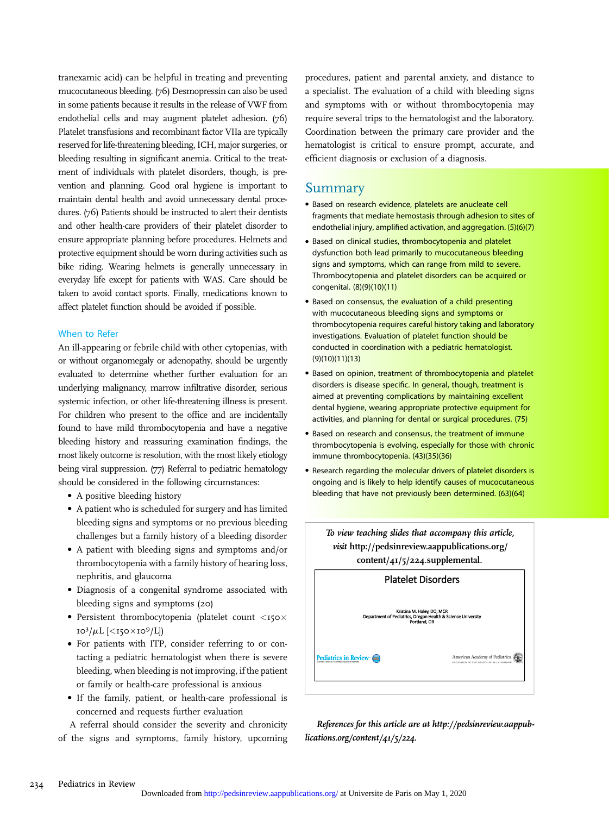tranexamic acid) can be helpful in treating and preventing mucocutaneous bleeding. (76) Desmopressin can also be used in some patients because it results in the release of VWF from endothelial cells and may augment platelet adhesion. (76) Platelet transfusions and recombinant factor VIIa are typically reserved for life-threatening bleeding, ICH, major surgeries, or bleeding resulting in significant anemia. Critical to the treatment of individuals with platelet disorders, though, is prevention and planning. Good oral hygiene is important to maintain dental health and avoid unnecessary dental procedures. (76) Patients should be instructed to alert their dentists and other health-care providers of their platelet disorder to ensure appropriate planning before procedures. Helmets and protective equipment should be worn during activities such as bike riding. Wearing helmets is generally unnecessary in everyday life except for patients with WAS. Care should be taken to avoid contact sports. Finally, medications known to affect platelet function should be avoided if possible.

#### When to Refer

An ill-appearing or febrile child with other cytopenias, with or without organomegaly or adenopathy, should be urgently evaluated to determine whether further evaluation for an underlying malignancy, marrow infiltrative disorder, serious systemic infection, or other life-threatening illness is present. For children who present to the office and are incidentally found to have mild thrombocytopenia and have a negative bleeding history and reassuring examination findings, the most likely outcome is resolution, with the most likely etiology being viral suppression. (77) Referral to pediatric hematology should be considered in the following circumstances:

- A positive bleeding history
- A patient who is scheduled for surgery and has limited bleeding signs and symptoms or no previous bleeding challenges but a family history of a bleeding disorder
- A patient with bleeding signs and symptoms and/or thrombocytopenia with a family history of hearing loss, nephritis, and glaucoma
- Diagnosis of a congenital syndrome associated with bleeding signs and symptoms (20)
- Persistent thrombocytopenia (platelet count  $\langle 150 \times$ 10<sup>3</sup>/µL [<150×10<sup>9</sup>/L])
- For patients with ITP, consider referring to or contacting a pediatric hematologist when there is severe bleeding, when bleeding is not improving, if the patient or family or health-care professional is anxious
- If the family, patient, or health-care professional is concerned and requests further evaluation

A referral should consider the severity and chronicity of the signs and symptoms, family history, upcoming

procedures, patient and parental anxiety, and distance to a specialist. The evaluation of a child with bleeding signs and symptoms with or without thrombocytopenia may require several trips to the hematologist and the laboratory. Coordination between the primary care provider and the hematologist is critical to ensure prompt, accurate, and efficient diagnosis or exclusion of a diagnosis.

## Summary

- Based on research evidence, platelets are anucleate cell fragments that mediate hemostasis through adhesion to sites of endothelial injury, amplified activation, and aggregation. (5)(6)(7)
- Based on clinical studies, thrombocytopenia and platelet dysfunction both lead primarily to mucocutaneous bleeding signs and symptoms, which can range from mild to severe. Thrombocytopenia and platelet disorders can be acquired or congenital. (8)(9)(10)(11)
- Based on consensus, the evaluation of a child presenting with mucocutaneous bleeding signs and symptoms or thrombocytopenia requires careful history taking and laboratory investigations. Evaluation of platelet function should be conducted in coordination with a pediatric hematologist. (9)(10)(11)(13)
- Based on opinion, treatment of thrombocytopenia and platelet disorders is disease specific. In general, though, treatment is aimed at preventing complications by maintaining excellent dental hygiene, wearing appropriate protective equipment for activities, and planning for dental or surgical procedures. (75)
- Based on research and consensus, the treatment of immune thrombocytopenia is evolving, especially for those with chronic immune thrombocytopenia. (43)(35)(36)
- Research regarding the molecular drivers of platelet disorders is ongoing and is likely to help identify causes of mucocutaneous bleeding that have not previously been determined. (63)(64)



References for this article are at http://pedsinreview.aappublications.org/content/41/5/224.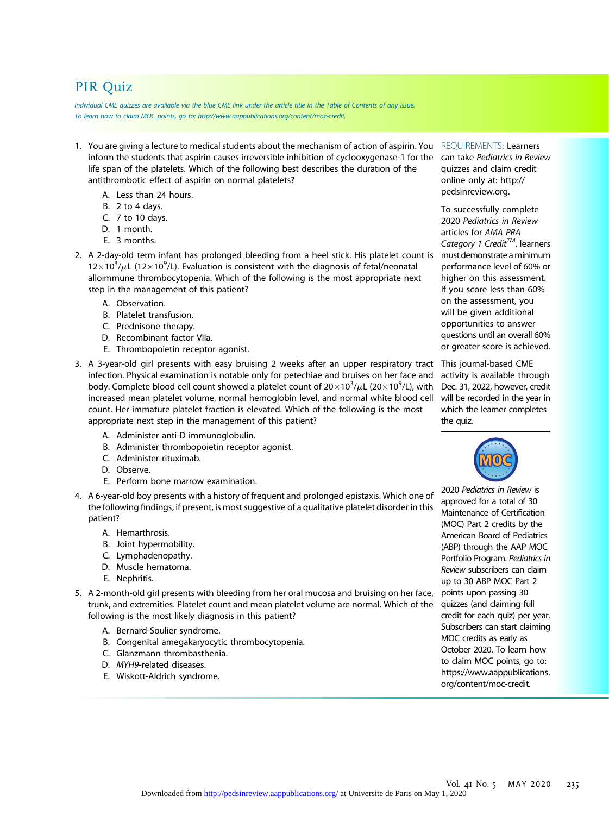# PIR Quiz

Individual CME quizzes are available via the blue CME link under the article title in the Table of Contents of any issue. To learn how to claim MOC points, go to: http://www.aappublications.org/content/moc-credit.

- 1. You are giving a lecture to medical students about the mechanism of action of aspirin. You REQUIREMENTS: Learners inform the students that aspirin causes irreversible inhibition of cyclooxygenase-1 for the life span of the platelets. Which of the following best describes the duration of the antithrombotic effect of aspirin on normal platelets?
	- A. Less than 24 hours.
	- B. 2 to 4 days.
	- C. 7 to 10 days.
	- D. 1 month.
	- E. 3 months.
- 2. A 2-day-old term infant has prolonged bleeding from a heel stick. His platelet count is  $12\times10^3/\mu$ L (12×10<sup>9</sup>/L). Evaluation is consistent with the diagnosis of fetal/neonatal alloimmune thrombocytopenia. Which of the following is the most appropriate next step in the management of this patient?
	- A. Observation.
	- B. Platelet transfusion.
	- C. Prednisone therapy.
	- D. Recombinant factor VIIa.
	- E. Thrombopoietin receptor agonist.
- 3. A 3-year-old girl presents with easy bruising 2 weeks after an upper respiratory tract infection. Physical examination is notable only for petechiae and bruises on her face and body. Complete blood cell count showed a platelet count of  $20\times10^3/\mu$ L (20 $\times10^9$ /L), with increased mean platelet volume, normal hemoglobin level, and normal white blood cell count. Her immature platelet fraction is elevated. Which of the following is the most appropriate next step in the management of this patient?
	- A. Administer anti-D immunoglobulin.
	- B. Administer thrombopoietin receptor agonist.
	- C. Administer rituximab.
	- D. Observe.
	- E. Perform bone marrow examination.
- 4. A 6-year-old boy presents with a history of frequent and prolonged epistaxis. Which one of the following findings, if present, is most suggestive of a qualitative platelet disorder in this patient?
	- A. Hemarthrosis.
	- B. Joint hypermobility.
	- C. Lymphadenopathy.
	- D. Muscle hematoma.
	- E. Nephritis.
- 5. A 2-month-old girl presents with bleeding from her oral mucosa and bruising on her face, trunk, and extremities. Platelet count and mean platelet volume are normal. Which of the following is the most likely diagnosis in this patient?
	- A. Bernard-Soulier syndrome.
	- B. Congenital amegakaryocytic thrombocytopenia.
	- C. Glanzmann thrombasthenia.
	- D. MYH9-related diseases.
	- E. Wiskott-Aldrich syndrome.

can take Pediatrics in Review quizzes and claim credit online only at: http:// pedsinreview.org.

To successfully complete 2020 Pediatrics in Review articles for AMA PRA Category 1 Credit<sup>TM</sup>, learners must demonstrate aminimum performance level of 60% or higher on this assessment. If you score less than 60% on the assessment, you will be given additional opportunities to answer questions until an overall 60% or greater score is achieved.

This journal-based CME activity is available through Dec. 31, 2022, however, credit will be recorded in the year in which the learner completes the quiz.



2020 Pediatrics in Review is approved for a total of 30 Maintenance of Certification (MOC) Part 2 credits by the American Board of Pediatrics (ABP) through the AAP MOC Portfolio Program. Pediatrics in Review subscribers can claim up to 30 ABP MOC Part 2 points upon passing 30 quizzes (and claiming full credit for each quiz) per year. Subscribers can start claiming MOC credits as early as October 2020. To learn how to claim MOC points, go to: https://www.aappublications. org/content/moc-credit.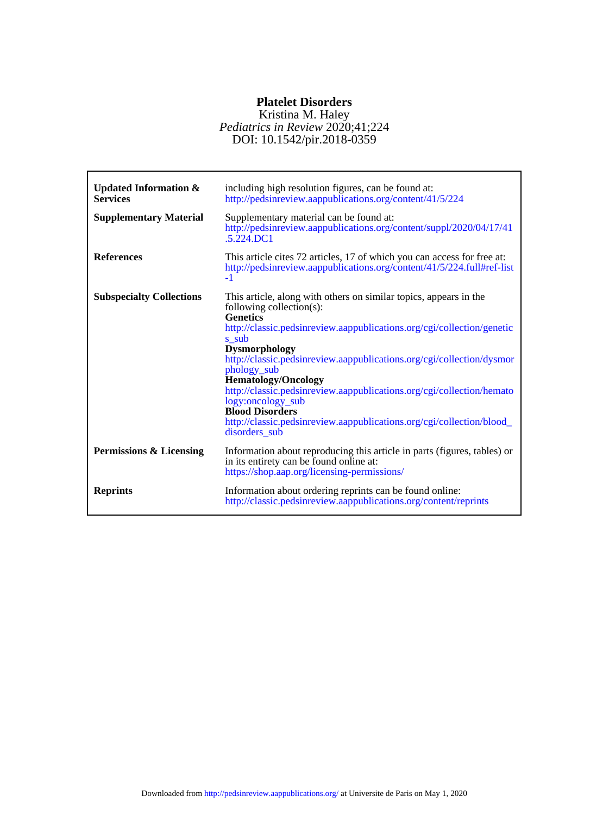# **Platelet Disorders**

# DOI: 10.1542/pir.2018-0359 *Pediatrics in Review* 2020;41;224 Kristina M. Haley

| <b>Updated Information &amp;</b><br><b>Services</b><br><b>Supplementary Material</b> | including high resolution figures, can be found at:<br>http://pedsinreview.aappublications.org/content/41/5/224<br>Supplementary material can be found at:<br>http://pedsinreview.aappublications.org/content/suppl/2020/04/17/41<br>$.5.\overline{2}24.$ DC1                                                                                                                                                                                                                                                                                                       |
|--------------------------------------------------------------------------------------|---------------------------------------------------------------------------------------------------------------------------------------------------------------------------------------------------------------------------------------------------------------------------------------------------------------------------------------------------------------------------------------------------------------------------------------------------------------------------------------------------------------------------------------------------------------------|
| <b>References</b>                                                                    | This article cites 72 articles, 17 of which you can access for free at:<br>http://pedsinreview.aappublications.org/content/41/5/224.full#ref-list<br>$-1$                                                                                                                                                                                                                                                                                                                                                                                                           |
| <b>Subspecialty Collections</b>                                                      | This article, along with others on similar topics, appears in the<br>following collection(s):<br><b>Genetics</b><br>http://classic.pedsinreview.aappublications.org/cgi/collection/genetic<br>s_sub<br><b>Dysmorphology</b><br>http://classic.pedsinreview.aappublications.org/cgi/collection/dysmor<br>phology_sub<br><b>Hematology/Oncology</b><br>http://classic.pedsinreview.aappublications.org/cgi/collection/hemato<br>logy:oncology_sub<br><b>Blood Disorders</b><br>http://classic.pedsinreview.aappublications.org/cgi/collection/blood_<br>disorders sub |
| <b>Permissions &amp; Licensing</b>                                                   | Information about reproducing this article in parts (figures, tables) or<br>in its entirety can be found online at:<br>https://shop.aap.org/licensing-permissions/                                                                                                                                                                                                                                                                                                                                                                                                  |
| <b>Reprints</b>                                                                      | Information about ordering reprints can be found online:<br>http://classic.pedsinreview.aappublications.org/content/reprints                                                                                                                                                                                                                                                                                                                                                                                                                                        |